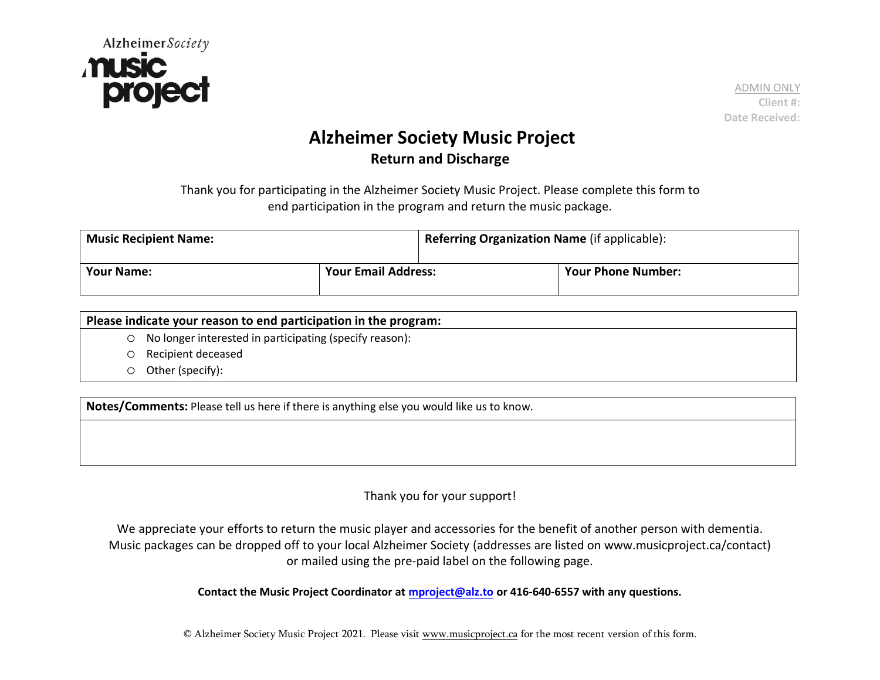

 ADMIN ONLY **Client #: Date Received:**

## **Alzheimer Society Music Project Return and Discharge**

Thank you for participating in the Alzheimer Society Music Project. Please complete this form to end participation in the program and return the music package.

| <b>Music Recipient Name:</b> |                            | Referring Organization Name (if applicable): |                           |
|------------------------------|----------------------------|----------------------------------------------|---------------------------|
| <b>Your Name:</b>            | <b>Your Email Address:</b> |                                              | <b>Your Phone Number:</b> |

| Please indicate your reason to end participation in the program: |                                                           |  |
|------------------------------------------------------------------|-----------------------------------------------------------|--|
|                                                                  | ○ No longer interested in participating (specify reason): |  |
|                                                                  | O Recipient deceased                                      |  |
|                                                                  | $\circ$ Other (specify):                                  |  |

**Notes/Comments:** Please tell us here if there is anything else you would like us to know.

## Thank you for your support!

We appreciate your efforts to return the music player and accessories for the benefit of another person with dementia. Music packages can be dropped off to your local Alzheimer Society (addresses are listed on www.musicproject.ca/contact) or mailed using the pre-paid label on the following page.

**Contact the Music Project Coordinator at [mproject@alz.to](mailto:write@musicproject.ca) or 416-640-6557 with any questions.** 

© Alzheimer Society Music Project 2021. Please visit [www.musicproject.ca](http://www.musicproject.ca/) for the most recent version of this form.